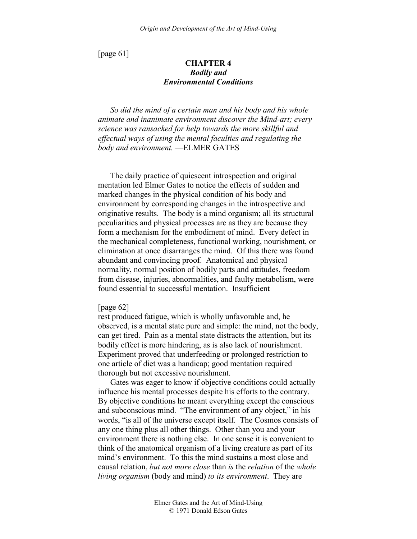[page 61]

# **CHAPTER 4**  *Bodily and Environmental Conditions*

*So did the mind of a certain man and his body and his whole animate and inanimate environment discover the Mind-art; every science was ransacked for help towards the more skillful and effectual ways of using the mental faculties and regulating the body and environment.* —ELMER GATES

The daily practice of quiescent introspection and original mentation led Elmer Gates to notice the effects of sudden and marked changes in the physical condition of his body and environment by corresponding changes in the introspective and originative results. The body is a mind organism; all its structural peculiarities and physical processes are as they are because they form a mechanism for the embodiment of mind. Every defect in the mechanical completeness, functional working, nourishment, or elimination at once disarranges the mind. Of this there was found abundant and convincing proof. Anatomical and physical normality, normal position of bodily parts and attitudes, freedom from disease, injuries, abnormalities, and faulty metabolism, were found essential to successful mentation. Insufficient

### [page 62]

rest produced fatigue, which is wholly unfavorable and, he observed, is a mental state pure and simple: the mind, not the body, can get tired. Pain as a mental state distracts the attention, but its bodily effect is more hindering, as is also lack of nourishment. Experiment proved that underfeeding or prolonged restriction to one article of diet was a handicap; good mentation required thorough but not excessive nourishment.

Gates was eager to know if objective conditions could actually influence his mental processes despite his efforts to the contrary. By objective conditions he meant everything except the conscious and subconscious mind. "The environment of any object," in his words, "is all of the universe except itself. The Cosmos consists of any one thing plus all other things. Other than you and your environment there is nothing else. In one sense it is convenient to think of the anatomical organism of a living creature as part of its mind's environment. To this the mind sustains a most close and causal relation, *but not more close* than *is* the *relation* of the *whole living organism* (body and mind) *to its environment*. They are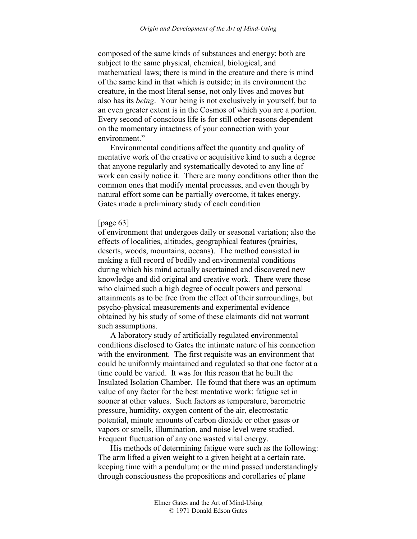composed of the same kinds of substances and energy; both are subject to the same physical, chemical, biological, and mathematical laws; there is mind in the creature and there is mind of the same kind in that which is outside; in its environment the creature, in the most literal sense, not only lives and moves but also has its *being*. Your being is not exclusively in yourself, but to an even greater extent is in the Cosmos of which you are a portion. Every second of conscious life is for still other reasons dependent on the momentary intactness of your connection with your environment."

Environmental conditions affect the quantity and quality of mentative work of the creative or acquisitive kind to such a degree that anyone regularly and systematically devoted to any line of work can easily notice it. There are many conditions other than the common ones that modify mental processes, and even though by natural effort some can be partially overcome, it takes energy. Gates made a preliminary study of each condition

### [page 63]

of environment that undergoes daily or seasonal variation; also the effects of localities, altitudes, geographical features (prairies, deserts, woods, mountains, oceans). The method consisted in making a full record of bodily and environmental conditions during which his mind actually ascertained and discovered new knowledge and did original and creative work. There were those who claimed such a high degree of occult powers and personal attainments as to be free from the effect of their surroundings, but psycho-physical measurements and experimental evidence obtained by his study of some of these claimants did not warrant such assumptions.

A laboratory study of artificially regulated environmental conditions disclosed to Gates the intimate nature of his connection with the environment. The first requisite was an environment that could be uniformly maintained and regulated so that one factor at a time could be varied. It was for this reason that he built the Insulated Isolation Chamber. He found that there was an optimum value of any factor for the best mentative work; fatigue set in sooner at other values. Such factors as temperature, barometric pressure, humidity, oxygen content of the air, electrostatic potential, minute amounts of carbon dioxide or other gases or vapors or smells, illumination, and noise level were studied. Frequent fluctuation of any one wasted vital energy.

His methods of determining fatigue were such as the following: The arm lifted a given weight to a given height at a certain rate, keeping time with a pendulum; or the mind passed understandingly through consciousness the propositions and corollaries of plane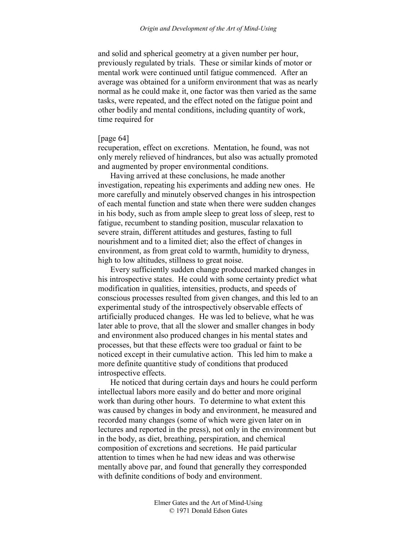and solid and spherical geometry at a given number per hour, previously regulated by trials. These or similar kinds of motor or mental work were continued until fatigue commenced. After an average was obtained for a uniform environment that was as nearly normal as he could make it, one factor was then varied as the same tasks, were repeated, and the effect noted on the fatigue point and other bodily and mental conditions, including quantity of work, time required for

# [page 64]

recuperation, effect on excretions. Mentation, he found, was not only merely relieved of hindrances, but also was actually promoted and augmented by proper environmental conditions.

Having arrived at these conclusions, he made another investigation, repeating his experiments and adding new ones. He more carefully and minutely observed changes in his introspection of each mental function and state when there were sudden changes in his body, such as from ample sleep to great loss of sleep, rest to fatigue, recumbent to standing position, muscular relaxation to severe strain, different attitudes and gestures, fasting to full nourishment and to a limited diet; also the effect of changes in environment, as from great cold to warmth, humidity to dryness, high to low altitudes, stillness to great noise.

Every sufficiently sudden change produced marked changes in his introspective states. He could with some certainty predict what modification in qualities, intensities, products, and speeds of conscious processes resulted from given changes, and this led to an experimental study of the introspectively observable effects of artificially produced changes. He was led to believe, what he was later able to prove, that all the slower and smaller changes in body and environment also produced changes in his mental states and processes, but that these effects were too gradual or faint to be noticed except in their cumulative action. This led him to make a more definite quantitive study of conditions that produced introspective effects.

He noticed that during certain days and hours he could perform intellectual labors more easily and do better and more original work than during other hours. To determine to what extent this was caused by changes in body and environment, he measured and recorded many changes (some of which were given later on in lectures and reported in the press), not only in the environment but in the body, as diet, breathing, perspiration, and chemical composition of excretions and secretions. He paid particular attention to times when he had new ideas and was otherwise mentally above par, and found that generally they corresponded with definite conditions of body and environment.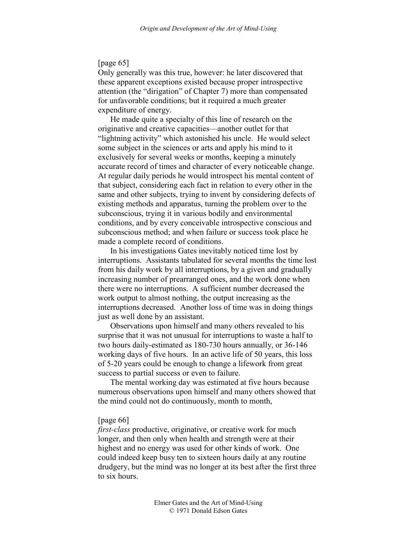# [page 65]

Only generally was this true, however: he later discovered that these apparent exceptions existed because proper introspective attention (the "dirigation" of Chapter 7) more than compensated for unfavorable conditions; but it required a much greater expenditure of energy.

He made quite a specialty of this line of research on the originative and creative capacities—another outlet for that "lightning activity" which astonished his uncle. He would select some subject in the sciences or arts and apply his mind to it exclusively for several weeks or months, keeping a minutely accurate record of times and character of every noticeable change. At regular daily periods he would introspect his mental content of that subject, considering each fact in relation to every other in the same and other subjects, trying to invent by considering defects of existing methods and apparatus, turning the problem over to the subconscious, trying it in various bodily and environmental conditions, and by every conceivable introspective conscious and subconscious method; and when failure or success took place he made a complete record of conditions.

In his investigations Gates inevitably noticed time lost by interruptions. Assistants tabulated for several months the time lost from his daily work by all interruptions, by a given and gradually increasing number of prearranged ones, and the work done when there were no interruptions. A sufficient number decreased the work output to almost nothing, the output increasing as the interruptions decreased. Another loss of time was in doing things just as well done by an assistant.

Observations upon himself and many others revealed to his surprise that it was not unusual for interruptions to waste a half to two hours daily-estimated as 180-730 hours annually, or 36-146 working days of five hours. In an active life of 50 years, this loss of 5-20 years could be enough to change a lifework from great success to partial success or even to failure.

The mental working day was estimated at five hours because numerous observations upon himself and many others showed that the mind could not do continuously, month to month,

## [page 66]

*first-class* productive, originative, or creative work for much longer, and then only when health and strength were at their highest and no energy was used for other kinds of work. One could indeed keep busy ten to sixteen hours daily at any routine drudgery, but the mind was no longer at its best after the first three to six hours.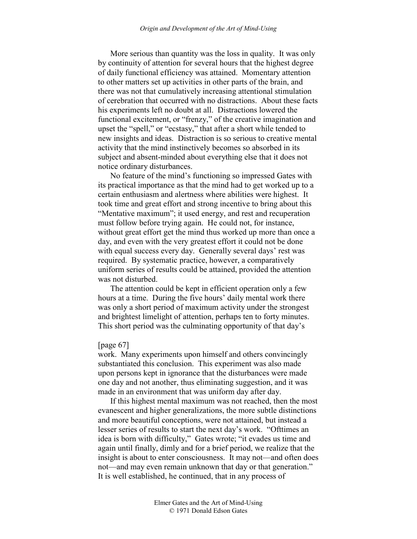More serious than quantity was the loss in quality. It was only by continuity of attention for several hours that the highest degree of daily functional efficiency was attained. Momentary attention to other matters set up activities in other parts of the brain, and there was not that cumulatively increasing attentional stimulation of cerebration that occurred with no distractions. About these facts his experiments left no doubt at all. Distractions lowered the functional excitement, or "frenzy," of the creative imagination and upset the "spell," or "ecstasy," that after a short while tended to new insights and ideas. Distraction is so serious to creative mental activity that the mind instinctively becomes so absorbed in its subject and absent-minded about everything else that it does not notice ordinary disturbances.

No feature of the mind's functioning so impressed Gates with its practical importance as that the mind had to get worked up to a certain enthusiasm and alertness where abilities were highest. It took time and great effort and strong incentive to bring about this "Mentative maximum"; it used energy, and rest and recuperation must follow before trying again. He could not, for instance, without great effort get the mind thus worked up more than once a day, and even with the very greatest effort it could not be done with equal success every day. Generally several days' rest was required. By systematic practice, however, a comparatively uniform series of results could be attained, provided the attention was not disturbed.

The attention could be kept in efficient operation only a few hours at a time. During the five hours' daily mental work there was only a short period of maximum activity under the strongest and brightest limelight of attention, perhaps ten to forty minutes. This short period was the culminating opportunity of that day's

## [page 67]

work. Many experiments upon himself and others convincingly substantiated this conclusion. This experiment was also made upon persons kept in ignorance that the disturbances were made one day and not another, thus eliminating suggestion, and it was made in an environment that was uniform day after day.

If this highest mental maximum was not reached, then the most evanescent and higher generalizations, the more subtle distinctions and more beautiful conceptions, were not attained, but instead a lesser series of results to start the next day's work. "Ofttimes an idea is born with difficulty," Gates wrote; "it evades us time and again until finally, dimly and for a brief period, we realize that the insight is about to enter consciousness. It may not—and often does not—and may even remain unknown that day or that generation." It is well established, he continued, that in any process of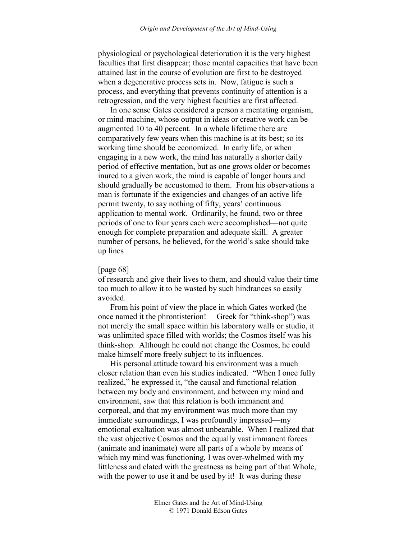physiological or psychological deterioration it is the very highest faculties that first disappear; those mental capacities that have been attained last in the course of evolution are first to be destroyed when a degenerative process sets in. Now, fatigue is such a process, and everything that prevents continuity of attention is a retrogression, and the very highest faculties are first affected.

In one sense Gates considered a person a mentating organism, or mind-machine, whose output in ideas or creative work can be augmented 10 to 40 percent. In a whole lifetime there are comparatively few years when this machine is at its best; so its working time should be economized. In early life, or when engaging in a new work, the mind has naturally a shorter daily period of effective mentation, but as one grows older or becomes inured to a given work, the mind is capable of longer hours and should gradually be accustomed to them. From his observations a man is fortunate if the exigencies and changes of an active life permit twenty, to say nothing of fifty, years' continuous application to mental work. Ordinarily, he found, two or three periods of one to four years each were accomplished—not quite enough for complete preparation and adequate skill. A greater number of persons, he believed, for the world's sake should take up lines

#### [page 68]

of research and give their lives to them, and should value their time too much to allow it to be wasted by such hindrances so easily avoided.

From his point of view the place in which Gates worked (he once named it the phrontisterion!— Greek for "think-shop") was not merely the small space within his laboratory walls or studio, it was unlimited space filled with worlds; the Cosmos itself was his think-shop. Although he could not change the Cosmos, he could make himself more freely subject to its influences.

His personal attitude toward his environment was a much closer relation than even his studies indicated. "When I once fully realized," he expressed it, "the causal and functional relation between my body and environment, and between my mind and environment, saw that this relation is both immanent and corporeal, and that my environment was much more than my immediate surroundings, I was profoundly impressed—my emotional exaltation was almost unbearable. When I realized that the vast objective Cosmos and the equally vast immanent forces (animate and inanimate) were all parts of a whole by means of which my mind was functioning, I was over-whelmed with my littleness and elated with the greatness as being part of that Whole, with the power to use it and be used by it! It was during these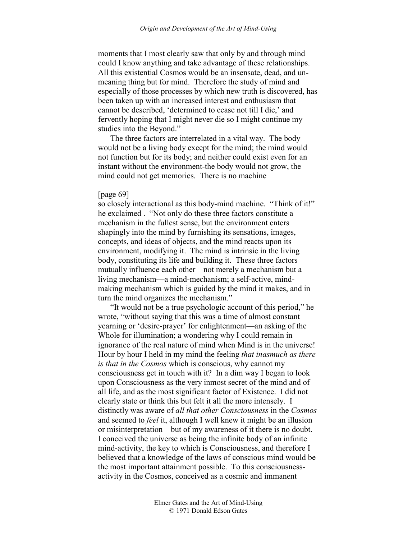moments that I most clearly saw that only by and through mind could I know anything and take advantage of these relationships. All this existential Cosmos would be an insensate, dead, and unmeaning thing but for mind. Therefore the study of mind and especially of those processes by which new truth is discovered, has been taken up with an increased interest and enthusiasm that cannot be described, 'determined to cease not till I die,' and fervently hoping that I might never die so I might continue my studies into the Beyond."

The three factors are interrelated in a vital way. The body would not be a living body except for the mind; the mind would not function but for its body; and neither could exist even for an instant without the environment-the body would not grow, the mind could not get memories. There is no machine

## [page 69]

so closely interactional as this body-mind machine. "Think of it!" he exclaimed . "Not only do these three factors constitute a mechanism in the fullest sense, but the environment enters shapingly into the mind by furnishing its sensations, images, concepts, and ideas of objects, and the mind reacts upon its environment, modifying it. The mind is intrinsic in the living body, constituting its life and building it. These three factors mutually influence each other—not merely a mechanism but a living mechanism—a mind-mechanism; a self-active, mindmaking mechanism which is guided by the mind it makes, and in turn the mind organizes the mechanism."

"It would not be a true psychologic account of this period," he wrote, "without saying that this was a time of almost constant yearning or 'desire-prayer' for enlightenment—an asking of the Whole for illumination; a wondering why I could remain in ignorance of the real nature of mind when Mind is in the universe! Hour by hour I held in my mind the feeling *that inasmuch as there is that in the Cosmos* which is conscious, why cannot my consciousness get in touch with it? In a dim way I began to look upon Consciousness as the very inmost secret of the mind and of all life, and as the most significant factor of Existence. I did not clearly state or think this but felt it all the more intensely. I distinctly was aware of *all that other Consciousness* in the *Cosmos* and seemed to *feel* it, although I well knew it might be an illusion or misinterpretation—but of my awareness of it there is no doubt. I conceived the universe as being the infinite body of an infinite mind-activity, the key to which is Consciousness, and therefore I believed that a knowledge of the laws of conscious mind would be the most important attainment possible. To this consciousnessactivity in the Cosmos, conceived as a cosmic and immanent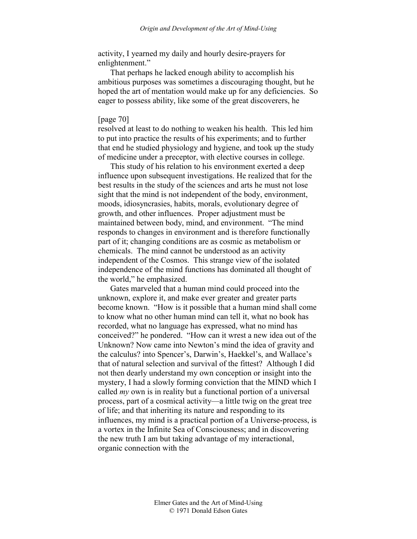activity, I yearned my daily and hourly desire-prayers for enlightenment."

That perhaps he lacked enough ability to accomplish his ambitious purposes was sometimes a discouraging thought, but he hoped the art of mentation would make up for any deficiencies. So eager to possess ability, like some of the great discoverers, he

# [page 70]

resolved at least to do nothing to weaken his health. This led him to put into practice the results of his experiments; and to further that end he studied physiology and hygiene, and took up the study of medicine under a preceptor, with elective courses in college.

This study of his relation to his environment exerted a deep influence upon subsequent investigations. He realized that for the best results in the study of the sciences and arts he must not lose sight that the mind is not independent of the body, environment, moods, idiosyncrasies, habits, morals, evolutionary degree of growth, and other influences. Proper adjustment must be maintained between body, mind, and environment. "The mind responds to changes in environment and is therefore functionally part of it; changing conditions are as cosmic as metabolism or chemicals. The mind cannot be understood as an activity independent of the Cosmos. This strange view of the isolated independence of the mind functions has dominated all thought of the world," he emphasized.

Gates marveled that a human mind could proceed into the unknown, explore it, and make ever greater and greater parts become known. "How is it possible that a human mind shall come to know what no other human mind can tell it, what no book has recorded, what no language has expressed, what no mind has conceived?" he pondered. "How can it wrest a new idea out of the Unknown? Now came into Newton's mind the idea of gravity and the calculus? into Spencer's, Darwin's, Haekkel's, and Wallace's that of natural selection and survival of the fittest? Although I did not then dearly understand my own conception or insight into the mystery, I had a slowly forming conviction that the MIND which I called *my* own is in reality but a functional portion of a universal process, part of a cosmical activity—a little twig on the great tree of life; and that inheriting its nature and responding to its influences, my mind is a practical portion of a Universe-process, is a vortex in the Infinite Sea of Consciousness; and in discovering the new truth I am but taking advantage of my interactional, organic connection with the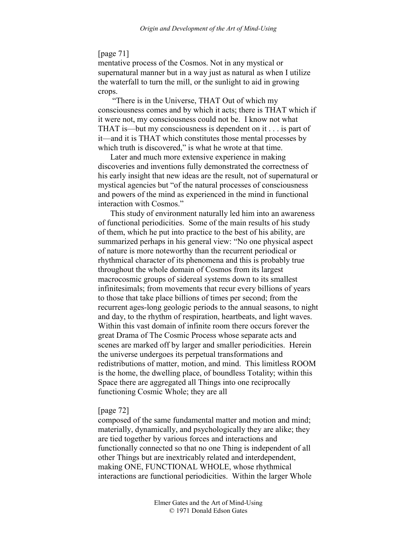# [page 71]

mentative process of the Cosmos. Not in any mystical or supernatural manner but in a way just as natural as when I utilize the waterfall to turn the mill, or the sunlight to aid in growing crops.

 "There is in the Universe, THAT Out of which my consciousness comes and by which it acts; there is THAT which if it were not, my consciousness could not be. I know not what THAT is—but my consciousness is dependent on it . . . is part of it—and it is THAT which constitutes those mental processes by which truth is discovered," is what he wrote at that time.

Later and much more extensive experience in making discoveries and inventions fully demonstrated the correctness of his early insight that new ideas are the result, not of supernatural or mystical agencies but "of the natural processes of consciousness and powers of the mind as experienced in the mind in functional interaction with Cosmos."

This study of environment naturally led him into an awareness of functional periodicities. Some of the main results of his study of them, which he put into practice to the best of his ability, are summarized perhaps in his general view: "No one physical aspect of nature is more noteworthy than the recurrent periodical or rhythmical character of its phenomena and this is probably true throughout the whole domain of Cosmos from its largest macrocosmic groups of sidereal systems down to its smallest infinitesimals; from movements that recur every billions of years to those that take place billions of times per second; from the recurrent ages-long geologic periods to the annual seasons, to night and day, to the rhythm of respiration, heartbeats, and light waves. Within this vast domain of infinite room there occurs forever the great Drama of The Cosmic Process whose separate acts and scenes are marked off by larger and smaller periodicities. Herein the universe undergoes its perpetual transformations and redistributions of matter, motion, and mind. This limitless ROOM is the home, the dwelling place, of boundless Totality; within this Space there are aggregated all Things into one reciprocally functioning Cosmic Whole; they are all

### [page 72]

composed of the same fundamental matter and motion and mind; materially, dynamically, and psychologically they are alike; they are tied together by various forces and interactions and functionally connected so that no one Thing is independent of all other Things but are inextricably related and interdependent, making ONE, FUNCTIONAL WHOLE, whose rhythmical interactions are functional periodicities. Within the larger Whole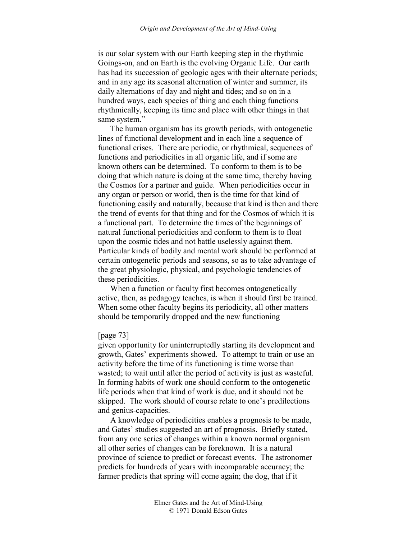is our solar system with our Earth keeping step in the rhythmic Goings-on, and on Earth is the evolving Organic Life. Our earth has had its succession of geologic ages with their alternate periods; and in any age its seasonal alternation of winter and summer, its daily alternations of day and night and tides; and so on in a hundred ways, each species of thing and each thing functions rhythmically, keeping its time and place with other things in that same system."

The human organism has its growth periods, with ontogenetic lines of functional development and in each line a sequence of functional crises. There are periodic, or rhythmical, sequences of functions and periodicities in all organic life, and if some are known others can be determined. To conform to them is to be doing that which nature is doing at the same time, thereby having the Cosmos for a partner and guide. When periodicities occur in any organ or person or world, then is the time for that kind of functioning easily and naturally, because that kind is then and there the trend of events for that thing and for the Cosmos of which it is a functional part. To determine the times of the beginnings of natural functional periodicities and conform to them is to float upon the cosmic tides and not battle uselessly against them. Particular kinds of bodily and mental work should be performed at certain ontogenetic periods and seasons, so as to take advantage of the great physiologic, physical, and psychologic tendencies of these periodicities.

When a function or faculty first becomes ontogenetically active, then, as pedagogy teaches, is when it should first be trained. When some other faculty begins its periodicity, all other matters should be temporarily dropped and the new functioning

### [page 73]

given opportunity for uninterruptedly starting its development and growth, Gates' experiments showed. To attempt to train or use an activity before the time of its functioning is time worse than wasted; to wait until after the period of activity is just as wasteful. In forming habits of work one should conform to the ontogenetic life periods when that kind of work is due, and it should not be skipped. The work should of course relate to one's predilections and genius-capacities.

A knowledge of periodicities enables a prognosis to be made, and Gates' studies suggested an art of prognosis. Briefly stated, from any one series of changes within a known normal organism all other series of changes can be foreknown. It is a natural province of science to predict or forecast events. The astronomer predicts for hundreds of years with incomparable accuracy; the farmer predicts that spring will come again; the dog, that if it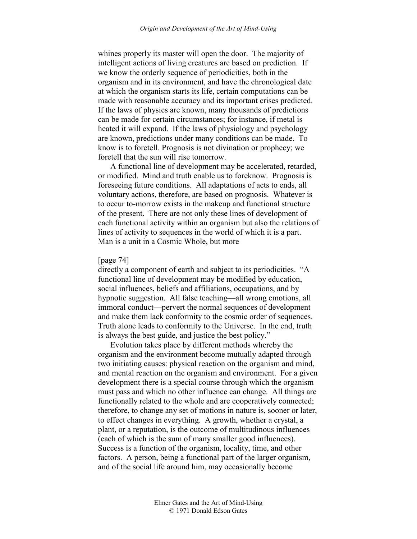whines properly its master will open the door. The majority of intelligent actions of living creatures are based on prediction. If we know the orderly sequence of periodicities, both in the organism and in its environment, and have the chronological date at which the organism starts its life, certain computations can be made with reasonable accuracy and its important crises predicted. If the laws of physics are known, many thousands of predictions can be made for certain circumstances; for instance, if metal is heated it will expand. If the laws of physiology and psychology are known, predictions under many conditions can be made. To know is to foretell. Prognosis is not divination or prophecy; we foretell that the sun will rise tomorrow.

A functional line of development may be accelerated, retarded, or modified. Mind and truth enable us to foreknow. Prognosis is foreseeing future conditions. All adaptations of acts to ends, all voluntary actions, therefore, are based on prognosis. Whatever is to occur to-morrow exists in the makeup and functional structure of the present. There are not only these lines of development of each functional activity within an organism but also the relations of lines of activity to sequences in the world of which it is a part. Man is a unit in a Cosmic Whole, but more

### [page 74]

directly a component of earth and subject to its periodicities. "A functional line of development may be modified by education, social influences, beliefs and affiliations, occupations, and by hypnotic suggestion. All false teaching—all wrong emotions, all immoral conduct—pervert the normal sequences of development and make them lack conformity to the cosmic order of sequences. Truth alone leads to conformity to the Universe. In the end, truth is always the best guide, and justice the best policy."

Evolution takes place by different methods whereby the organism and the environment become mutually adapted through two initiating causes: physical reaction on the organism and mind, and mental reaction on the organism and environment. For a given development there is a special course through which the organism must pass and which no other influence can change. All things are functionally related to the whole and are cooperatively connected; therefore, to change any set of motions in nature is, sooner or later, to effect changes in everything. A growth, whether a crystal, a plant, or a reputation, is the outcome of multitudinous influences (each of which is the sum of many smaller good influences). Success is a function of the organism, locality, time, and other factors. A person, being a functional part of the larger organism, and of the social life around him, may occasionally become